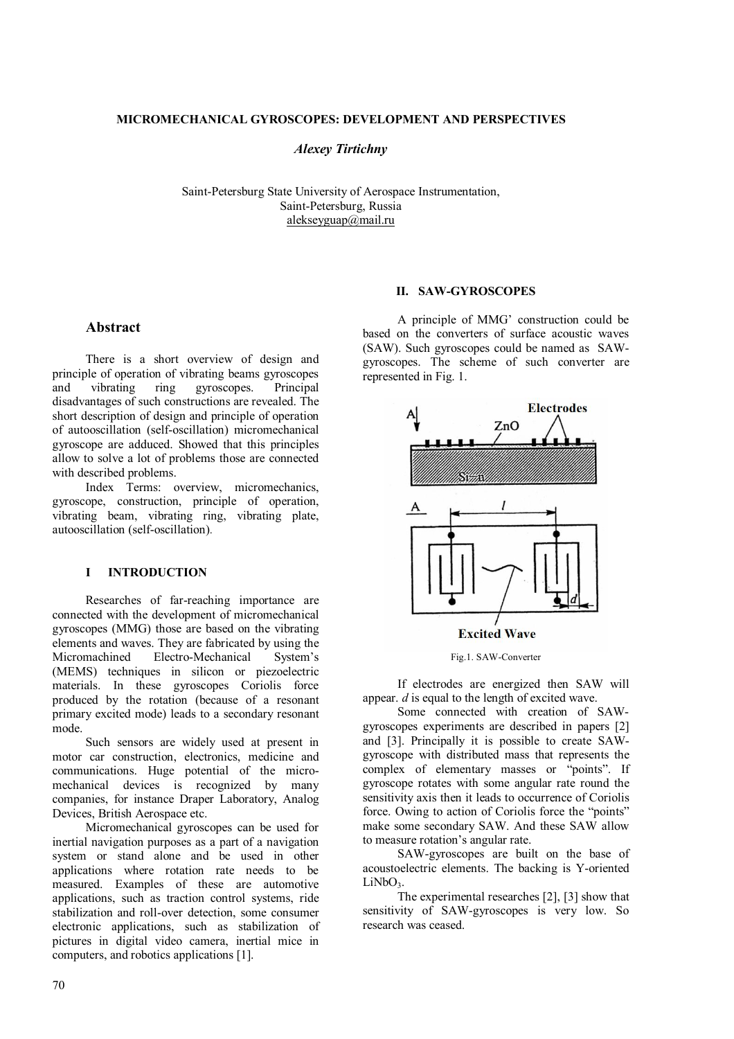#### **MICROMECHANICAL GYROSCOPES: DEVELOPMENT AND PERSPECTIVES**

*Alexey Tirtichny* 

Saint-Petersburg State University of Aerospace Instrumentation, Saint-Petersburg, Russia alekseyguap@mail.ru

# **Abstract**

There is a short overview of design and principle of operation of vibrating beams gyroscopes and vibrating ring gyroscopes. Principal disadvantages of such constructions are revealed. The short description of design and principle of operation of autooscillation (self-oscillation) micromechanical gyroscope are adduced. Showed that this principles allow to solve a lot of problems those are connected with described problems.

Index Terms: overview, micromechanics, gyroscope, construction, principle of operation, vibrating beam, vibrating ring, vibrating plate, autooscillation (self-oscillation).

## **I INTRODUCTION**

Researches of far-reaching importance are connected with the development of micromechanical gyroscopes (MMG) those are based on the vibrating elements and waves. They are fabricated by using the Micromachined Electro-Mechanical System's (MEMS) techniques in silicon or piezoelectric materials. In these gyroscopes Coriolis force produced by the rotation (because of a resonant primary excited mode) leads to a secondary resonant mode.

Such sensors are widely used at present in motor car construction, electronics, medicine and communications. Huge potential of the micromechanical devices is recognized by many companies, for instance Draper Laboratory, Analog Devices, British Aerospace etc.

Micromechanical gyroscopes can be used for inertial navigation purposes as a part of a navigation system or stand alone and be used in other applications where rotation rate needs to be measured. Examples of these are automotive applications, such as traction control systems, ride stabilization and roll-over detection, some consumer electronic applications, such as stabilization of pictures in digital video camera, inertial mice in computers, and robotics applications [1].

## **II. SAW-GYROSCOPES**

A principle of MMG' construction could be based on the converters of surface acoustic waves (SAW). Such gyroscopes could be named as SAWgyroscopes. The scheme of such converter are represented in Fig. 1.



Fig.1. SAW-Converter

If electrodes are energized then SAW will appear. *d* is equal to the length of excited wave.

Some connected with creation of SAWgyroscopes experiments are described in papers [2] and [3]. Principally it is possible to create SAWgyroscope with distributed mass that represents the complex of elementary masses or "points". If gyroscope rotates with some angular rate round the sensitivity axis then it leads to occurrence of Coriolis force. Owing to action of Coriolis force the "points" make some secondary SAW. And these SAW allow to measure rotation's angular rate.

SAW-gyroscopes are built on the base of acoustoelectric elements. The backing is Y-oriented  $LiNbO<sub>3</sub>$ .

The experimental researches [2], [3] show that sensitivity of SAW-gyroscopes is very low. So research was ceased.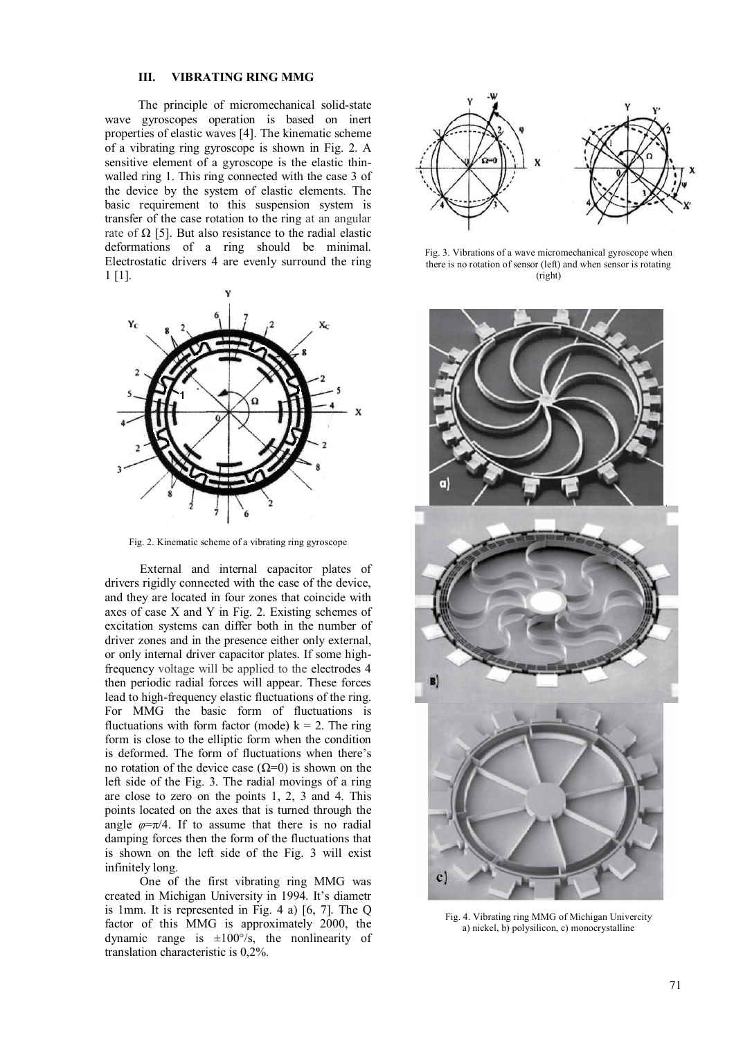#### **III. VIBRATING RING MMG**

The principle of micromechanical solid-state wave gyroscopes operation is based on inert properties of elastic waves [4]. The kinematic scheme of a vibrating ring gyroscope is shown in Fig. 2. A sensitive element of a gyroscope is the elastic thinwalled ring 1. This ring connected with the case 3 of the device by the system of elastic elements. The basic requirement to this suspension system is transfer of the case rotation to the ring at an angular rate of  $\Omega$  [5]. But also resistance to the radial elastic deformations of a ring should be minimal. Electrostatic drivers 4 are evenly surround the ring 1 [1].



Fig. 2. Kinematic scheme of a vibrating ring gyroscope

External and internal capacitor plates of drivers rigidly connected with the case of the device, and they are located in four zones that coincide with axes of case X and Y in Fig. 2. Existing schemes of excitation systems can differ both in the number of driver zones and in the presence either only external, or only internal driver capacitor plates. If some highfrequency voltage will be applied to the electrodes 4 then periodic radial forces will appear. These forces lead to high-frequency elastic fluctuations of the ring. For MMG the basic form of fluctuations is fluctuations with form factor (mode)  $k = 2$ . The ring form is close to the elliptic form when the condition is deformed. The form of fluctuations when there's no rotation of the device case  $(Ω=0)$  is shown on the left side of the Fig. 3. The radial movings of a ring are close to zero on the points 1, 2, 3 and 4. This points located on the axes that is turned through the angle  $\varphi = \pi/4$ . If to assume that there is no radial damping forces then the form of the fluctuations that is shown on the left side of the Fig. 3 will exist infinitely long.

One of the first vibrating ring MMG was created in Michigan University in 1994. It's diametr is 1mm. It is represented in Fig. 4 a) [6, 7]. The Q factor of this MMG is approximately 2000, the dynamic range is  $\pm 100^{\circ}/s$ , the nonlinearity of translation characteristic is 0,2%.



Fig. 3. Vibrations of a wave micromechanical gyroscope when there is no rotation of sensor (left) and when sensor is rotating (right)



Fig. 4. Vibrating ring MMG of Michigan Univercity a) nickel, b) polysilicon, c) monocrystalline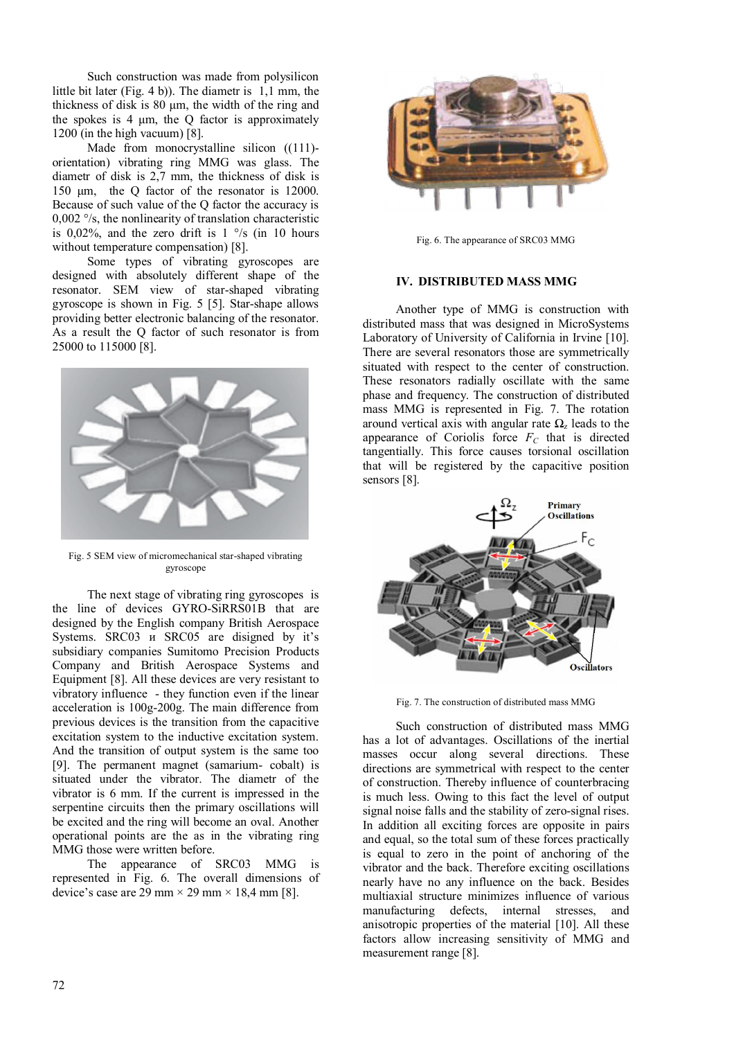Such construction was made from polysilicon little bit later (Fig. 4 b)). The diametr is 1,1 mm, the thickness of disk is 80 μm, the width of the ring and the spokes is  $4 \mu m$ , the Q factor is approximately 1200 (in the high vacuum) [8].

Made from monocrystalline silicon ((111)orientation) vibrating ring MMG was glass. The diametr of disk is 2,7 mm, the thickness of disk is 150 μm, the Q factor of the resonator is 12000. Because of such value of the Q factor the accuracy is 0,002 °/s, the nonlinearity of translation characteristic is 0,02%, and the zero drift is  $1 \degree$ /s (in 10 hours without temperature compensation) [8].

Some types of vibrating gyroscopes are designed with absolutely different shape of the resonator. SEM view of star-shaped vibrating gyroscope is shown in Fig. 5 [5]. Star-shape allows providing better electronic balancing of the resonator. As a result the Q factor of such resonator is from 25000 to 115000 [8].



Fig. 5 SEM view of micromechanical star-shaped vibrating gyroscope

The next stage of vibrating ring gyroscopes is the line of devices GYRO-SiRRS01В that are designed by the English company British Aerospace Systems. SRC03 и SRC05 are disigned by it's subsidiary companies Sumitomo Precision Products Company and British Aerospace Systems and Equipment [8]. All these devices are very resistant to vibratory influence - they function even if the linear acceleration is 100g-200g. The main difference from previous devices is the transition from the capacitive excitation system to the inductive excitation system. And the transition of output system is the same too [9]. The permanent magnet (samarium- cobalt) is situated under the vibrator. The diametr of the vibrator is 6 mm. If the current is impressed in the serpentine circuits then the primary oscillations will be excited and the ring will become an oval. Another operational points are the as in the vibrating ring MMG those were written before.

The appearance of SRC03 MMG is represented in Fig. 6. The overall dimensions of device's case are 29 mm  $\times$  29 mm  $\times$  18,4 mm [8].



Fig. 6. The appearance of SRC03 MMG

## **IV. DISTRIBUTED MASS MMG**

Another type of MMG is construction with distributed mass that was designed in MicroSystems Laboratory of University of California in Irvine [10]. There are several resonators those are symmetrically situated with respect to the center of construction. These resonators radially oscillate with the same phase and frequency. The construction of distributed mass MMG is represented in Fig. 7. The rotation around vertical axis with angular rate  $\Omega$ <sub>z</sub> leads to the appearance of Coriolis force  $F_C$  that is directed tangentially. This force causes torsional oscillation that will be registered by the capacitive position sensors [8].



Fig. 7. The construction of distributed mass MMG

Such construction of distributed mass MMG has a lot of advantages. Oscillations of the inertial masses occur along several directions. These directions are symmetrical with respect to the center of construction. Thereby influence of counterbracing is much less. Owing to this fact the level of output signal noise falls and the stability of zero-signal rises. In addition all exciting forces are opposite in pairs and equal, so the total sum of these forces practically is equal to zero in the point of anchoring of the vibrator and the back. Therefore exciting oscillations nearly have no any influence on the back. Besides multiaxial structure minimizes influence of various manufacturing defects, internal stresses, and anisotropic properties of the material [10]. All these factors allow increasing sensitivity of MMG and measurement range [8].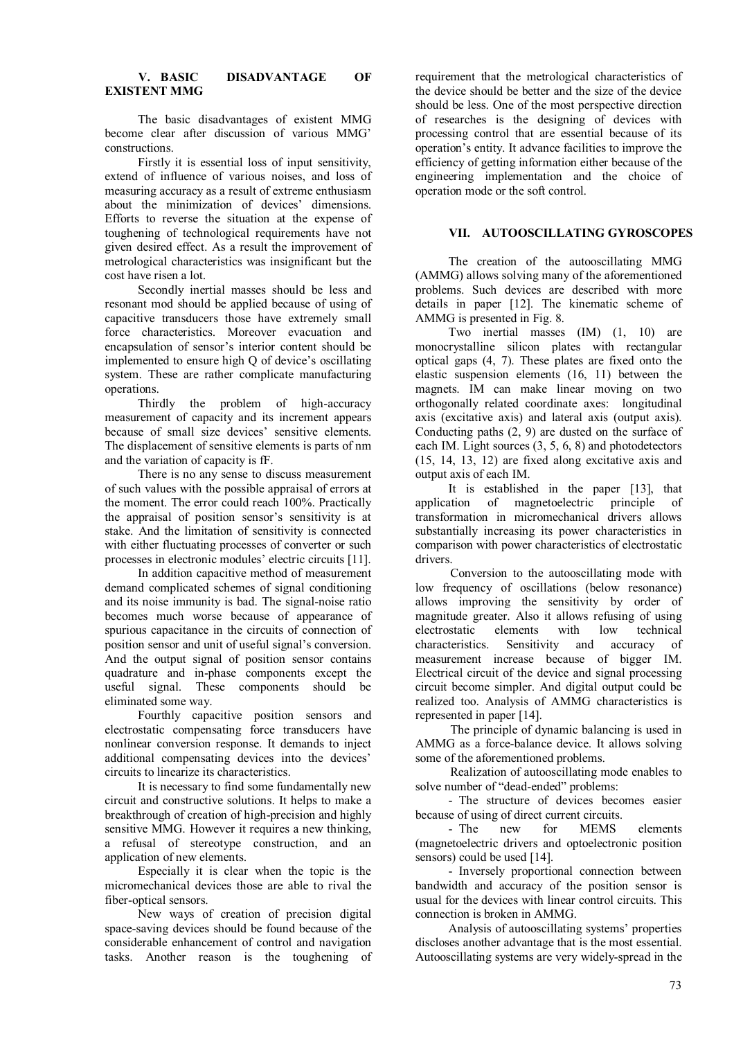## **V. BASIC DISADVANTAGE OF EXISTENT MMG**

The basic disadvantages of existent MMG become clear after discussion of various MMG' constructions.

Firstly it is essential loss of input sensitivity, extend of influence of various noises, and loss of measuring accuracy as a result of extreme enthusiasm about the minimization of devices' dimensions. Efforts to reverse the situation at the expense of toughening of technological requirements have not given desired effect. As a result the improvement of metrological characteristics was insignificant but the cost have risen a lot.

Secondly inertial masses should be less and resonant mod should be applied because of using of capacitive transducers those have extremely small force characteristics. Moreover evacuation and encapsulation of sensor's interior content should be implemented to ensure high Q of device's oscillating system. These are rather complicate manufacturing operations.

Thirdly the problem of high-accuracy measurement of capacity and its increment appears because of small size devices' sensitive elements. The displacement of sensitive elements is parts of nm and the variation of capacity is fF.

There is no any sense to discuss measurement of such values with the possible appraisal of errors at the moment. The error could reach 100%. Practically the appraisal of position sensor's sensitivity is at stake. And the limitation of sensitivity is connected with either fluctuating processes of converter or such processes in electronic modules' electric circuits [11].

In addition capacitive method of measurement demand complicated schemes of signal conditioning and its noise immunity is bad. The signal-noise ratio becomes much worse because of appearance of spurious capacitance in the circuits of connection of position sensor and unit of useful signal's conversion. And the output signal of position sensor contains quadrature and in-phase components except the useful signal. These components should be eliminated some way.

Fourthly capacitive position sensors and electrostatic compensating force transducers have nonlinear conversion response. It demands to inject additional compensating devices into the devices' circuits to linearize its characteristics.

It is necessary to find some fundamentally new circuit and constructive solutions. It helps to make a breakthrough of creation of high-precision and highly sensitive MMG. However it requires a new thinking, a refusal of stereotype construction, and an application of new elements.

Especially it is clear when the topic is the micromechanical devices those are able to rival the fiber-optical sensors.

New ways of creation of precision digital space-saving devices should be found because of the considerable enhancement of control and navigation tasks. Another reason is the toughening of

requirement that the metrological characteristics of the device should be better and the size of the device should be less. One of the most perspective direction of researches is the designing of devices with processing control that are essential because of its operation's entity. It advance facilities to improve the efficiency of getting information either because of the engineering implementation and the choice of operation mode or the soft control.

# **VII. AUTOOSCILLATING GYROSCOPES**

The creation of the autooscillating MMG (AMMG) allows solving many of the aforementioned problems. Such devices are described with more details in paper [12]. The kinematic scheme of AMMG is presented in Fig. 8.

Two inertial masses (IM) (1, 10) are monocrystalline silicon plates with rectangular optical gaps (4, 7). These plates are fixed onto the elastic suspension elements (16, 11) between the magnets. IM can make linear moving on two orthogonally related coordinate axes: longitudinal axis (excitative axis) and lateral axis (output axis). Conducting paths (2, 9) are dusted on the surface of each IM. Light sources (3, 5, 6, 8) and photodetectors (15, 14, 13, 12) are fixed along excitative axis and output axis of each IM.

It is established in the paper [13], that application of magnetoelectric principle of transformation in micromechanical drivers allows substantially increasing its power characteristics in comparison with power characteristics of electrostatic drivers.

Conversion to the autooscillating mode with low frequency of oscillations (below resonance) allows improving the sensitivity by order of magnitude greater. Also it allows refusing of using electrostatic elements with low technical characteristics. Sensitivity and accuracy of measurement increase because of bigger IM. Electrical circuit of the device and signal processing circuit become simpler. And digital output could be realized too. Analysis of AMMG characteristics is represented in paper [14].

The principle of dynamic balancing is used in AMMG as a force-balance device. It allows solving some of the aforementioned problems.

Realization of autooscillating mode enables to solve number of "dead-ended" problems:

- The structure of devices becomes easier because of using of direct current circuits.<br>The new for MEMS

new for MEMS elements (magnetoelectric drivers and optoelectronic position sensors) could be used [14].

- Inversely proportional connection between bandwidth and accuracy of the position sensor is usual for the devices with linear control circuits. This connection is broken in AMMG.

Analysis of autooscillating systems' properties discloses another advantage that is the most essential. Autooscillating systems are very widely-spread in the